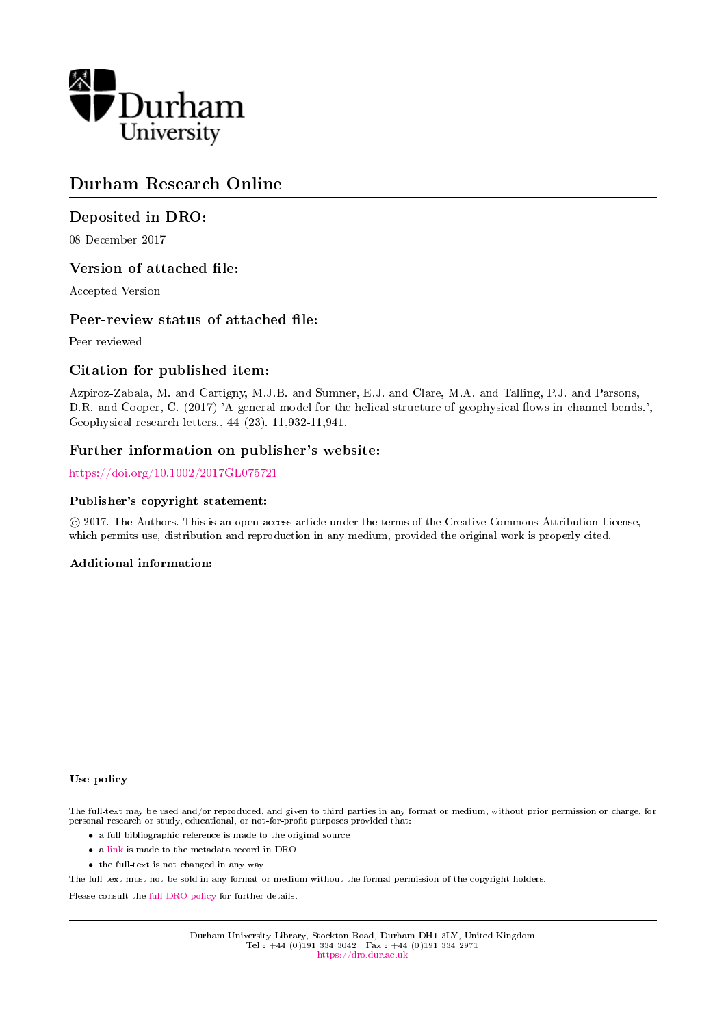

# Durham Research Online

# Deposited in DRO:

08 December 2017

# Version of attached file:

Accepted Version

# Peer-review status of attached file:

Peer-reviewed

### Citation for published item:

Azpiroz-Zabala, M. and Cartigny, M.J.B. and Sumner, E.J. and Clare, M.A. and Talling, P.J. and Parsons, D.R. and Cooper, C. (2017) 'A general model for the helical structure of geophysical flows in channel bends.', Geophysical research letters., 44 (23). 11,932-11,941.

### Further information on publisher's website:

<https://doi.org/10.1002/2017GL075721>

#### Publisher's copyright statement:

 c 2017. The Authors. This is an open access article under the terms of the Creative Commons Attribution License, which permits use, distribution and reproduction in any medium, provided the original work is properly cited.

### Additional information:

#### Use policy

The full-text may be used and/or reproduced, and given to third parties in any format or medium, without prior permission or charge, for personal research or study, educational, or not-for-profit purposes provided that:

- a full bibliographic reference is made to the original source
- a [link](http://dro.dur.ac.uk/23665/) is made to the metadata record in DRO
- the full-text is not changed in any way

The full-text must not be sold in any format or medium without the formal permission of the copyright holders.

Please consult the [full DRO policy](https://dro.dur.ac.uk/policies/usepolicy.pdf) for further details.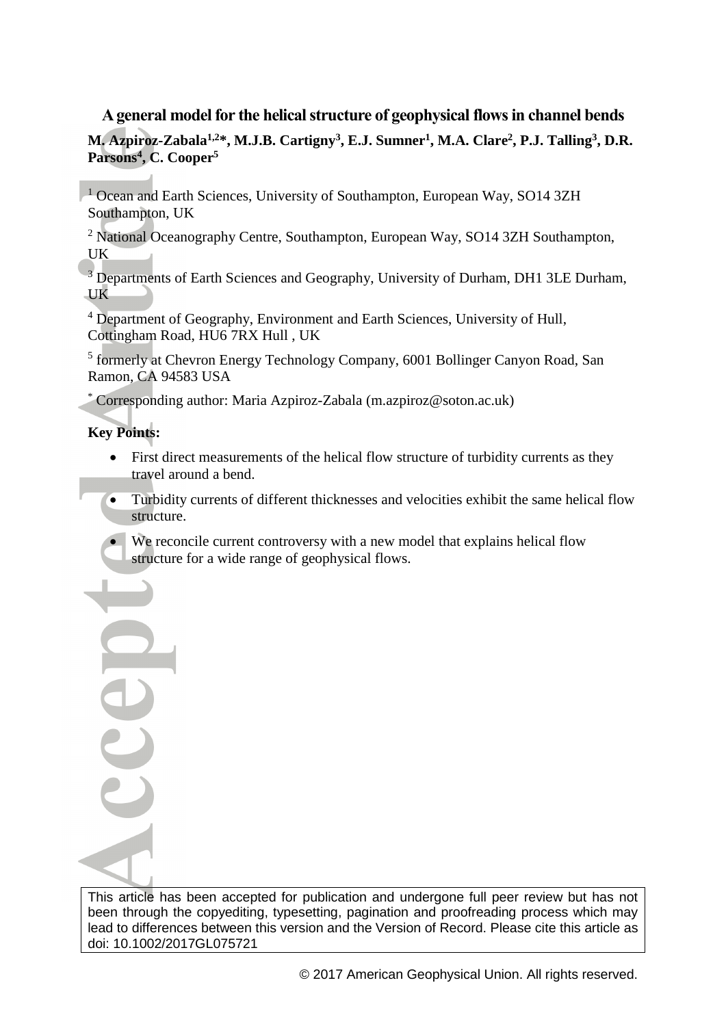# **A general model for the helical structure of geophysical flows in channel bends**

**M. Azpiroz-Zabala1,2\*, M.J.B. Cartigny<sup>3</sup> , E.J. Sumner<sup>1</sup> , M.A. Clare<sup>2</sup> , P.J. Talling<sup>3</sup> , D.R. Parsons<sup>4</sup> , C. Cooper<sup>5</sup>**

<sup>1</sup> Ocean and Earth Sciences, University of Southampton, European Way, SO14 3ZH Southampton, UK

<sup>2</sup> National Oceanography Centre, Southampton, European Way, SO14 3ZH Southampton, UK

<sup>3</sup> Departments of Earth Sciences and Geography, University of Durham, DH1 3LE Durham, UK

<sup>4</sup> Department of Geography, Environment and Earth Sciences, University of Hull, Cottingham Road, HU6 7RX Hull , UK

<sup>5</sup> formerly at Chevron Energy Technology Company, 6001 Bollinger Canyon Road, San Ramon, CA 94583 USA

\* Corresponding author: Maria Azpiroz-Zabala (m.azpiroz@soton.ac.uk)

# **Key Points:**

UUJ

- First direct measurements of the helical flow structure of turbidity currents as they travel around a bend.
- Turbidity currents of different thicknesses and velocities exhibit the same helical flow structure.
- We reconcile current controversy with a new model that explains helical flow structure for a wide range of geophysical flows.

This article has been accepted for publication and undergone full peer review but has not been through the copyediting, typesetting, pagination and proofreading process which may lead to differences between this version and the Version of Record. Please cite this article as doi: 10.1002/2017GL075721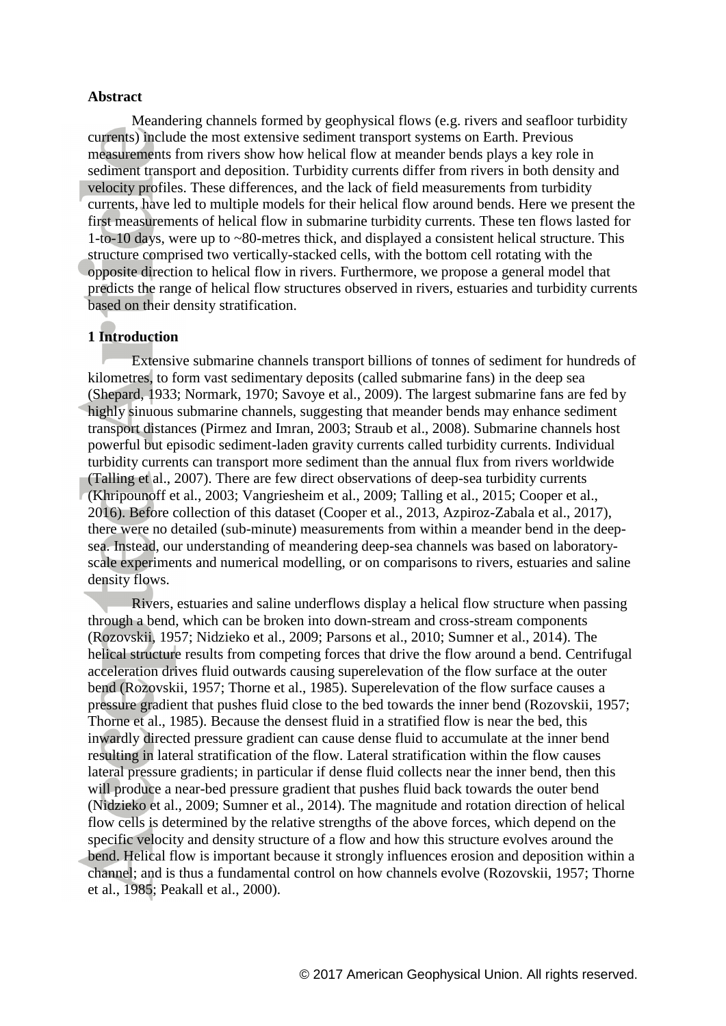### **Abstract**

Meandering channels formed by geophysical flows (e.g. rivers and seafloor turbidity currents) include the most extensive sediment transport systems on Earth. Previous measurements from rivers show how helical flow at meander bends plays a key role in sediment transport and deposition. Turbidity currents differ from rivers in both density and velocity profiles. These differences, and the lack of field measurements from turbidity currents, have led to multiple models for their helical flow around bends. Here we present the first measurements of helical flow in submarine turbidity currents. These ten flows lasted for 1-to-10 days, were up to ~80-metres thick, and displayed a consistent helical structure. This structure comprised two vertically-stacked cells, with the bottom cell rotating with the opposite direction to helical flow in rivers. Furthermore, we propose a general model that predicts the range of helical flow structures observed in rivers, estuaries and turbidity currents based on their density stratification.

### **1 Introduction**

Extensive submarine channels transport billions of tonnes of sediment for hundreds of kilometres, to form vast sedimentary deposits (called submarine fans) in the deep sea (Shepard, 1933; Normark, 1970; Savoye et al., 2009). The largest submarine fans are fed by highly sinuous submarine channels, suggesting that meander bends may enhance sediment transport distances (Pirmez and Imran, 2003; Straub et al., 2008). Submarine channels host powerful but episodic sediment-laden gravity currents called turbidity currents. Individual turbidity currents can transport more sediment than the annual flux from rivers worldwide (Talling et al., 2007). There are few direct observations of deep-sea turbidity currents (Khripounoff et al., 2003; Vangriesheim et al., 2009; Talling et al., 2015; Cooper et al., 2016). Before collection of this dataset (Cooper et al., 2013, Azpiroz-Zabala et al., 2017), there were no detailed (sub-minute) measurements from within a meander bend in the deepsea. Instead, our understanding of meandering deep-sea channels was based on laboratoryscale experiments and numerical modelling, or on comparisons to rivers, estuaries and saline density flows.

Rivers, estuaries and saline underflows display a helical flow structure when passing through a bend, which can be broken into down-stream and cross-stream components (Rozovskii, 1957; Nidzieko et al., 2009; Parsons et al., 2010; Sumner et al., 2014). The helical structure results from competing forces that drive the flow around a bend. Centrifugal acceleration drives fluid outwards causing superelevation of the flow surface at the outer bend (Rozovskii, 1957; Thorne et al., 1985). Superelevation of the flow surface causes a pressure gradient that pushes fluid close to the bed towards the inner bend (Rozovskii, 1957; Thorne et al., 1985). Because the densest fluid in a stratified flow is near the bed, this inwardly directed pressure gradient can cause dense fluid to accumulate at the inner bend resulting in lateral stratification of the flow. Lateral stratification within the flow causes lateral pressure gradients; in particular if dense fluid collects near the inner bend, then this will produce a near-bed pressure gradient that pushes fluid back towards the outer bend (Nidzieko et al., 2009; Sumner et al., 2014). The magnitude and rotation direction of helical flow cells is determined by the relative strengths of the above forces, which depend on the specific velocity and density structure of a flow and how this structure evolves around the bend. Helical flow is important because it strongly influences erosion and deposition within a channel; and is thus a fundamental control on how channels evolve (Rozovskii, 1957; Thorne et al., 1985; Peakall et al., 2000).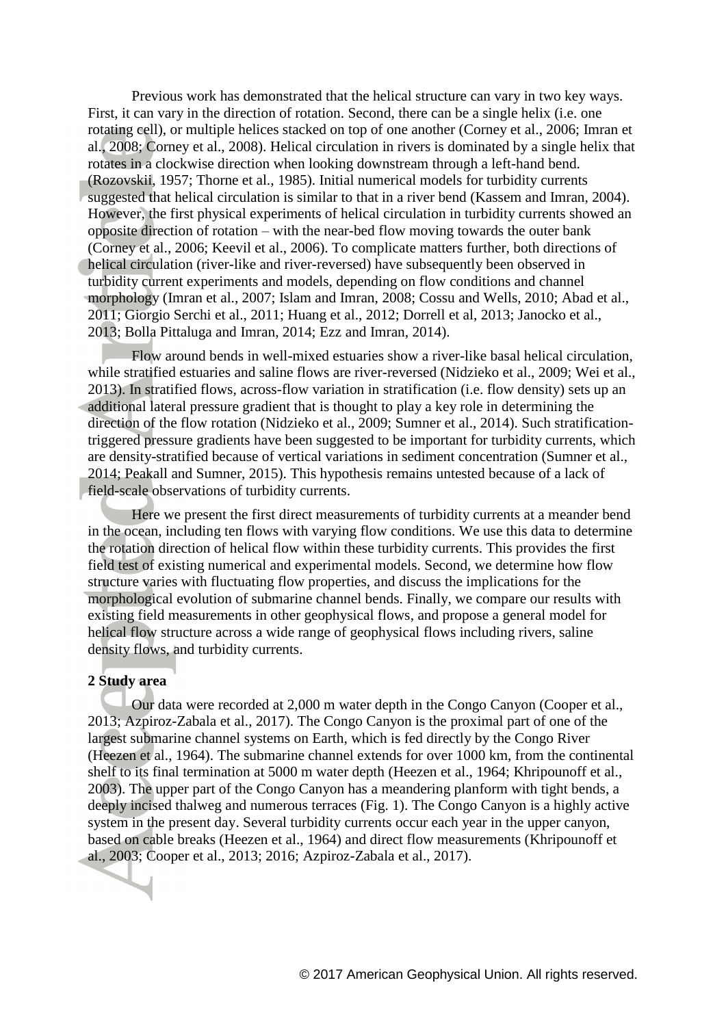Previous work has demonstrated that the helical structure can vary in two key ways. First, it can vary in the direction of rotation. Second, there can be a single helix (i.e. one rotating cell), or multiple helices stacked on top of one another (Corney et al., 2006; Imran et al., 2008; Corney et al., 2008). Helical circulation in rivers is dominated by a single helix that rotates in a clockwise direction when looking downstream through a left-hand bend. (Rozovskii, 1957; Thorne et al., 1985). Initial numerical models for turbidity currents suggested that helical circulation is similar to that in a river bend (Kassem and Imran, 2004). However, the first physical experiments of helical circulation in turbidity currents showed an opposite direction of rotation – with the near-bed flow moving towards the outer bank (Corney et al., 2006; Keevil et al., 2006). To complicate matters further, both directions of helical circulation (river-like and river-reversed) have subsequently been observed in turbidity current experiments and models, depending on flow conditions and channel morphology (Imran et al., 2007; Islam and Imran, 2008; Cossu and Wells, 2010; Abad et al., 2011; Giorgio Serchi et al., 2011; Huang et al., 2012; Dorrell et al, 2013; Janocko et al., 2013; Bolla Pittaluga and Imran, 2014; Ezz and Imran, 2014).

Flow around bends in well-mixed estuaries show a river-like basal helical circulation, while stratified estuaries and saline flows are river-reversed (Nidzieko et al., 2009; Wei et al., 2013). In stratified flows, across-flow variation in stratification (i.e. flow density) sets up an additional lateral pressure gradient that is thought to play a key role in determining the direction of the flow rotation (Nidzieko et al., 2009; Sumner et al., 2014). Such stratificationtriggered pressure gradients have been suggested to be important for turbidity currents, which are density-stratified because of vertical variations in sediment concentration (Sumner et al., 2014; Peakall and Sumner, 2015). This hypothesis remains untested because of a lack of field-scale observations of turbidity currents.

Here we present the first direct measurements of turbidity currents at a meander bend in the ocean, including ten flows with varying flow conditions. We use this data to determine the rotation direction of helical flow within these turbidity currents. This provides the first field test of existing numerical and experimental models. Second, we determine how flow structure varies with fluctuating flow properties, and discuss the implications for the morphological evolution of submarine channel bends. Finally, we compare our results with existing field measurements in other geophysical flows, and propose a general model for helical flow structure across a wide range of geophysical flows including rivers, saline density flows, and turbidity currents.

### **2 Study area**

Our data were recorded at 2,000 m water depth in the Congo Canyon (Cooper et al., 2013; Azpiroz-Zabala et al., 2017). The Congo Canyon is the proximal part of one of the largest submarine channel systems on Earth, which is fed directly by the Congo River (Heezen et al., 1964). The submarine channel extends for over 1000 km, from the continental shelf to its final termination at 5000 m water depth (Heezen et al., 1964; Khripounoff et al., 2003). The upper part of the Congo Canyon has a meandering planform with tight bends, a deeply incised thalweg and numerous terraces (Fig. 1). The Congo Canyon is a highly active system in the present day. Several turbidity currents occur each year in the upper canyon, based on cable breaks (Heezen et al., 1964) and direct flow measurements (Khripounoff et al., 2003; Cooper et al., 2013; 2016; Azpiroz-Zabala et al., 2017).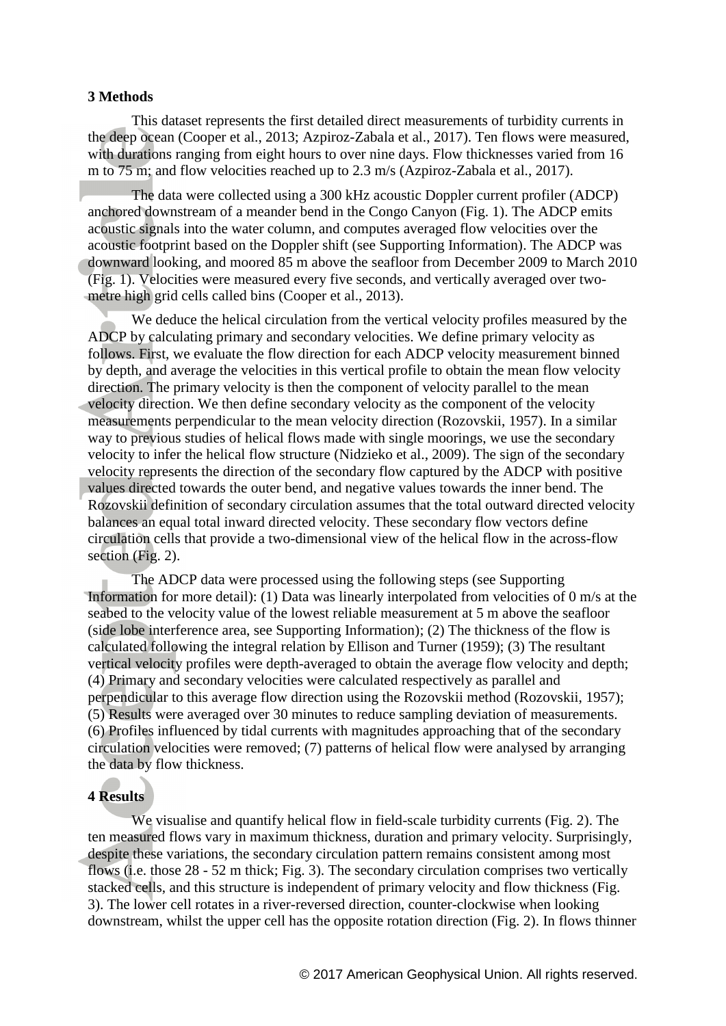#### **3 Methods**

This dataset represents the first detailed direct measurements of turbidity currents in the deep ocean (Cooper et al., 2013; Azpiroz-Zabala et al., 2017). Ten flows were measured, with durations ranging from eight hours to over nine days. Flow thicknesses varied from 16 m to 75 m; and flow velocities reached up to 2.3 m/s (Azpiroz-Zabala et al., 2017).

The data were collected using a 300 kHz acoustic Doppler current profiler (ADCP) anchored downstream of a meander bend in the Congo Canyon (Fig. 1). The ADCP emits acoustic signals into the water column, and computes averaged flow velocities over the acoustic footprint based on the Doppler shift (see Supporting Information). The ADCP was downward looking, and moored 85 m above the seafloor from December 2009 to March 2010 (Fig. 1). Velocities were measured every five seconds, and vertically averaged over twometre high grid cells called bins (Cooper et al., 2013).

We deduce the helical circulation from the vertical velocity profiles measured by the ADCP by calculating primary and secondary velocities. We define primary velocity as follows. First, we evaluate the flow direction for each ADCP velocity measurement binned by depth, and average the velocities in this vertical profile to obtain the mean flow velocity direction. The primary velocity is then the component of velocity parallel to the mean velocity direction. We then define secondary velocity as the component of the velocity measurements perpendicular to the mean velocity direction (Rozovskii, 1957). In a similar way to previous studies of helical flows made with single moorings, we use the secondary velocity to infer the helical flow structure (Nidzieko et al., 2009). The sign of the secondary velocity represents the direction of the secondary flow captured by the ADCP with positive values directed towards the outer bend, and negative values towards the inner bend. The Rozovskii definition of secondary circulation assumes that the total outward directed velocity balances an equal total inward directed velocity. These secondary flow vectors define circulation cells that provide a two-dimensional view of the helical flow in the across-flow section (Fig. 2).

The ADCP data were processed using the following steps (see Supporting Information for more detail): (1) Data was linearly interpolated from velocities of 0 m/s at the seabed to the velocity value of the lowest reliable measurement at 5 m above the seafloor (side lobe interference area, see Supporting Information); (2) The thickness of the flow is calculated following the integral relation by Ellison and Turner (1959); (3) The resultant vertical velocity profiles were depth-averaged to obtain the average flow velocity and depth; (4) Primary and secondary velocities were calculated respectively as parallel and perpendicular to this average flow direction using the Rozovskii method (Rozovskii, 1957); (5) Results were averaged over 30 minutes to reduce sampling deviation of measurements. (6) Profiles influenced by tidal currents with magnitudes approaching that of the secondary circulation velocities were removed; (7) patterns of helical flow were analysed by arranging the data by flow thickness.

# **4 Results**

We visualise and quantify helical flow in field-scale turbidity currents (Fig. 2). The ten measured flows vary in maximum thickness, duration and primary velocity. Surprisingly, despite these variations, the secondary circulation pattern remains consistent among most flows (i.e. those 28 - 52 m thick; Fig. 3). The secondary circulation comprises two vertically stacked cells, and this structure is independent of primary velocity and flow thickness (Fig. 3). The lower cell rotates in a river-reversed direction, counter-clockwise when looking downstream, whilst the upper cell has the opposite rotation direction (Fig. 2). In flows thinner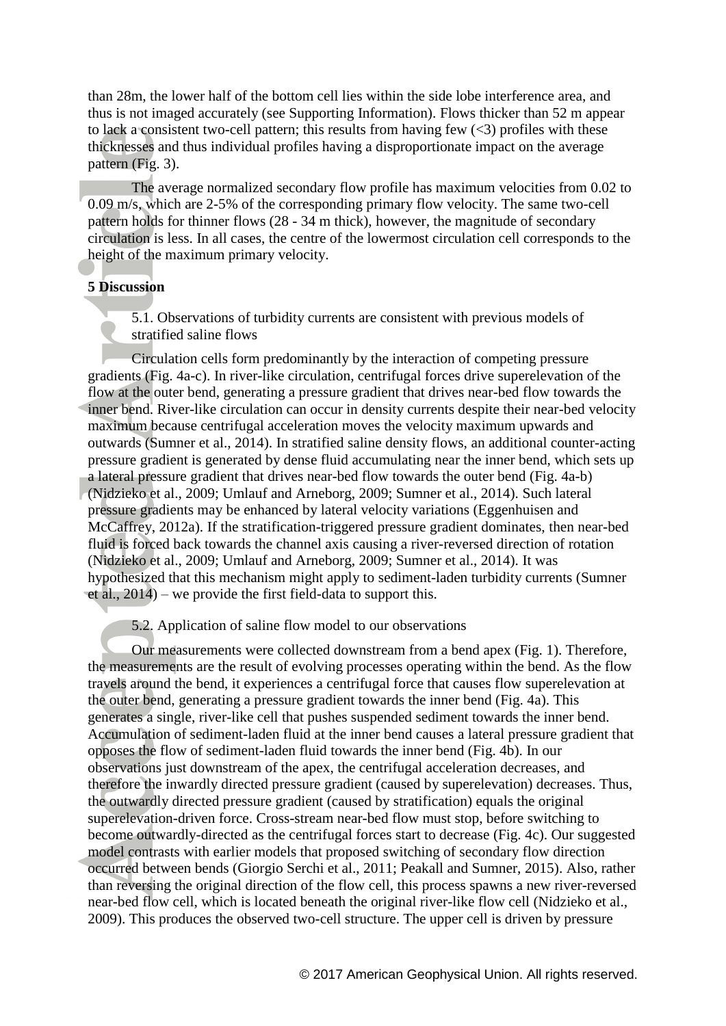than 28m, the lower half of the bottom cell lies within the side lobe interference area, and thus is not imaged accurately (see Supporting Information). Flows thicker than 52 m appear to lack a consistent two-cell pattern; this results from having few  $(\leq 3)$  profiles with these thicknesses and thus individual profiles having a disproportionate impact on the average pattern (Fig. 3).

The average normalized secondary flow profile has maximum velocities from 0.02 to 0.09 m/s, which are 2-5% of the corresponding primary flow velocity. The same two-cell pattern holds for thinner flows (28 - 34 m thick), however, the magnitude of secondary circulation is less. In all cases, the centre of the lowermost circulation cell corresponds to the height of the maximum primary velocity.

# **5 Discussion**

5.1. Observations of turbidity currents are consistent with previous models of stratified saline flows

Circulation cells form predominantly by the interaction of competing pressure gradients (Fig. 4a-c). In river-like circulation, centrifugal forces drive superelevation of the flow at the outer bend, generating a pressure gradient that drives near-bed flow towards the inner bend. River-like circulation can occur in density currents despite their near-bed velocity maximum because centrifugal acceleration moves the velocity maximum upwards and outwards (Sumner et al., 2014). In stratified saline density flows, an additional counter-acting pressure gradient is generated by dense fluid accumulating near the inner bend, which sets up a lateral pressure gradient that drives near-bed flow towards the outer bend (Fig. 4a-b) (Nidzieko et al., 2009; Umlauf and Arneborg, 2009; Sumner et al., 2014). Such lateral pressure gradients may be enhanced by lateral velocity variations (Eggenhuisen and McCaffrey, 2012a). If the stratification-triggered pressure gradient dominates, then near-bed fluid is forced back towards the channel axis causing a river-reversed direction of rotation (Nidzieko et al., 2009; Umlauf and Arneborg, 2009; Sumner et al., 2014). It was hypothesized that this mechanism might apply to sediment-laden turbidity currents (Sumner et al., 2014) – we provide the first field-data to support this.

5.2. Application of saline flow model to our observations

Our measurements were collected downstream from a bend apex (Fig. 1). Therefore, the measurements are the result of evolving processes operating within the bend. As the flow travels around the bend, it experiences a centrifugal force that causes flow superelevation at the outer bend, generating a pressure gradient towards the inner bend (Fig. 4a). This generates a single, river-like cell that pushes suspended sediment towards the inner bend. Accumulation of sediment-laden fluid at the inner bend causes a lateral pressure gradient that opposes the flow of sediment-laden fluid towards the inner bend (Fig. 4b). In our observations just downstream of the apex, the centrifugal acceleration decreases, and therefore the inwardly directed pressure gradient (caused by superelevation) decreases. Thus, the outwardly directed pressure gradient (caused by stratification) equals the original superelevation-driven force. Cross-stream near-bed flow must stop, before switching to become outwardly-directed as the centrifugal forces start to decrease (Fig. 4c). Our suggested model contrasts with earlier models that proposed switching of secondary flow direction occurred between bends (Giorgio Serchi et al., 2011; Peakall and Sumner, 2015). Also, rather than reversing the original direction of the flow cell, this process spawns a new river-reversed near-bed flow cell, which is located beneath the original river-like flow cell (Nidzieko et al., 2009). This produces the observed two-cell structure. The upper cell is driven by pressure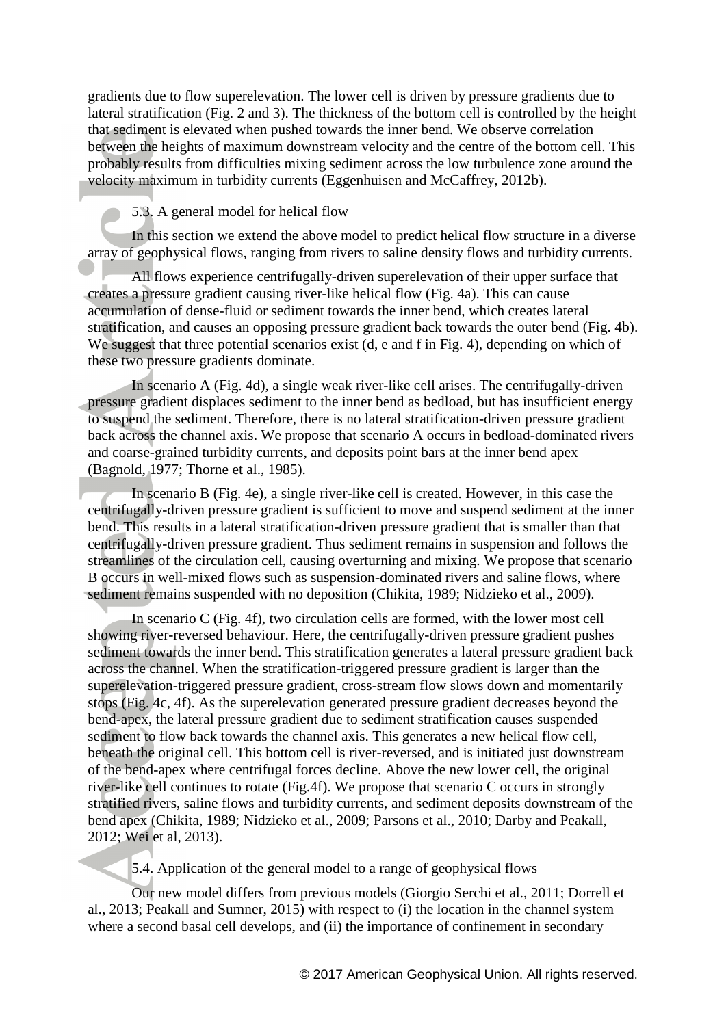gradients due to flow superelevation. The lower cell is driven by pressure gradients due to lateral stratification (Fig. 2 and 3). The thickness of the bottom cell is controlled by the height that sediment is elevated when pushed towards the inner bend. We observe correlation between the heights of maximum downstream velocity and the centre of the bottom cell. This probably results from difficulties mixing sediment across the low turbulence zone around the velocity maximum in turbidity currents (Eggenhuisen and McCaffrey, 2012b).

5.3. A general model for helical flow

In this section we extend the above model to predict helical flow structure in a diverse array of geophysical flows, ranging from rivers to saline density flows and turbidity currents.

All flows experience centrifugally-driven superelevation of their upper surface that creates a pressure gradient causing river-like helical flow (Fig. 4a). This can cause accumulation of dense-fluid or sediment towards the inner bend, which creates lateral stratification, and causes an opposing pressure gradient back towards the outer bend (Fig. 4b). We suggest that three potential scenarios exist (d, e and f in Fig. 4), depending on which of these two pressure gradients dominate.

In scenario A (Fig. 4d), a single weak river-like cell arises. The centrifugally-driven pressure gradient displaces sediment to the inner bend as bedload, but has insufficient energy to suspend the sediment. Therefore, there is no lateral stratification-driven pressure gradient back across the channel axis. We propose that scenario A occurs in bedload-dominated rivers and coarse-grained turbidity currents, and deposits point bars at the inner bend apex (Bagnold, 1977; Thorne et al., 1985).

In scenario B (Fig. 4e), a single river-like cell is created. However, in this case the centrifugally-driven pressure gradient is sufficient to move and suspend sediment at the inner bend. This results in a lateral stratification-driven pressure gradient that is smaller than that centrifugally-driven pressure gradient. Thus sediment remains in suspension and follows the streamlines of the circulation cell, causing overturning and mixing. We propose that scenario B occurs in well-mixed flows such as suspension-dominated rivers and saline flows, where sediment remains suspended with no deposition (Chikita, 1989; Nidzieko et al., 2009).

In scenario C (Fig. 4f), two circulation cells are formed, with the lower most cell showing river-reversed behaviour. Here, the centrifugally-driven pressure gradient pushes sediment towards the inner bend. This stratification generates a lateral pressure gradient back across the channel. When the stratification-triggered pressure gradient is larger than the superelevation-triggered pressure gradient, cross-stream flow slows down and momentarily stops (Fig. 4c, 4f). As the superelevation generated pressure gradient decreases beyond the bend-apex, the lateral pressure gradient due to sediment stratification causes suspended sediment to flow back towards the channel axis. This generates a new helical flow cell, beneath the original cell. This bottom cell is river-reversed, and is initiated just downstream of the bend-apex where centrifugal forces decline. Above the new lower cell, the original river-like cell continues to rotate (Fig.4f). We propose that scenario C occurs in strongly stratified rivers, saline flows and turbidity currents, and sediment deposits downstream of the bend apex (Chikita, 1989; Nidzieko et al., 2009; Parsons et al., 2010; Darby and Peakall, 2012; Wei et al, 2013).

5.4. Application of the general model to a range of geophysical flows

Our new model differs from previous models (Giorgio Serchi et al., 2011; Dorrell et al., 2013; Peakall and Sumner, 2015) with respect to (i) the location in the channel system where a second basal cell develops, and (ii) the importance of confinement in secondary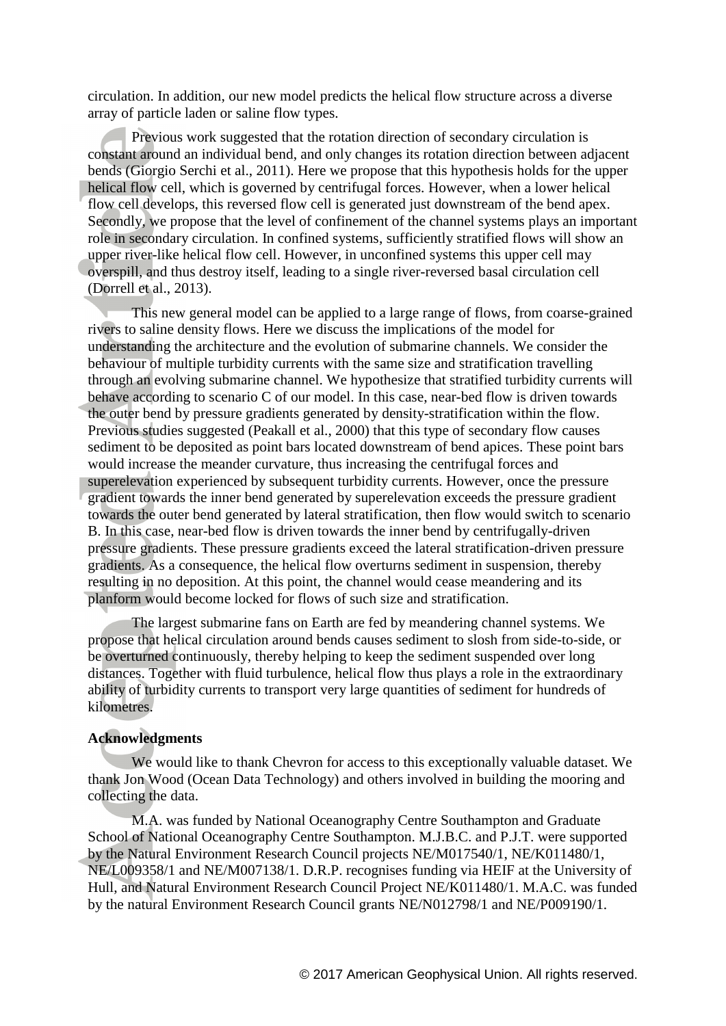circulation. In addition, our new model predicts the helical flow structure across a diverse array of particle laden or saline flow types.

Previous work suggested that the rotation direction of secondary circulation is constant around an individual bend, and only changes its rotation direction between adjacent bends (Giorgio Serchi et al., 2011). Here we propose that this hypothesis holds for the upper helical flow cell, which is governed by centrifugal forces. However, when a lower helical flow cell develops, this reversed flow cell is generated just downstream of the bend apex. Secondly, we propose that the level of confinement of the channel systems plays an important role in secondary circulation. In confined systems, sufficiently stratified flows will show an upper river-like helical flow cell. However, in unconfined systems this upper cell may overspill, and thus destroy itself, leading to a single river-reversed basal circulation cell (Dorrell et al., 2013).

This new general model can be applied to a large range of flows, from coarse-grained rivers to saline density flows. Here we discuss the implications of the model for understanding the architecture and the evolution of submarine channels. We consider the behaviour of multiple turbidity currents with the same size and stratification travelling through an evolving submarine channel. We hypothesize that stratified turbidity currents will behave according to scenario C of our model. In this case, near-bed flow is driven towards the outer bend by pressure gradients generated by density-stratification within the flow. Previous studies suggested (Peakall et al., 2000) that this type of secondary flow causes sediment to be deposited as point bars located downstream of bend apices. These point bars would increase the meander curvature, thus increasing the centrifugal forces and superelevation experienced by subsequent turbidity currents. However, once the pressure gradient towards the inner bend generated by superelevation exceeds the pressure gradient towards the outer bend generated by lateral stratification, then flow would switch to scenario B. In this case, near-bed flow is driven towards the inner bend by centrifugally-driven pressure gradients. These pressure gradients exceed the lateral stratification-driven pressure gradients. As a consequence, the helical flow overturns sediment in suspension, thereby resulting in no deposition. At this point, the channel would cease meandering and its planform would become locked for flows of such size and stratification.

The largest submarine fans on Earth are fed by meandering channel systems. We propose that helical circulation around bends causes sediment to slosh from side-to-side, or be overturned continuously, thereby helping to keep the sediment suspended over long distances. Together with fluid turbulence, helical flow thus plays a role in the extraordinary ability of turbidity currents to transport very large quantities of sediment for hundreds of kilometres.

# **Acknowledgments**

We would like to thank Chevron for access to this exceptionally valuable dataset. We thank Jon Wood (Ocean Data Technology) and others involved in building the mooring and collecting the data.

M.A. was funded by National Oceanography Centre Southampton and Graduate School of National Oceanography Centre Southampton. M.J.B.C. and P.J.T. were supported by the Natural Environment Research Council projects NE/M017540/1, NE/K011480/1, NE/L009358/1 and NE/M007138/1. D.R.P. recognises funding via HEIF at the University of Hull, and Natural Environment Research Council Project NE/K011480/1. M.A.C. was funded by the natural Environment Research Council grants NE/N012798/1 and NE/P009190/1.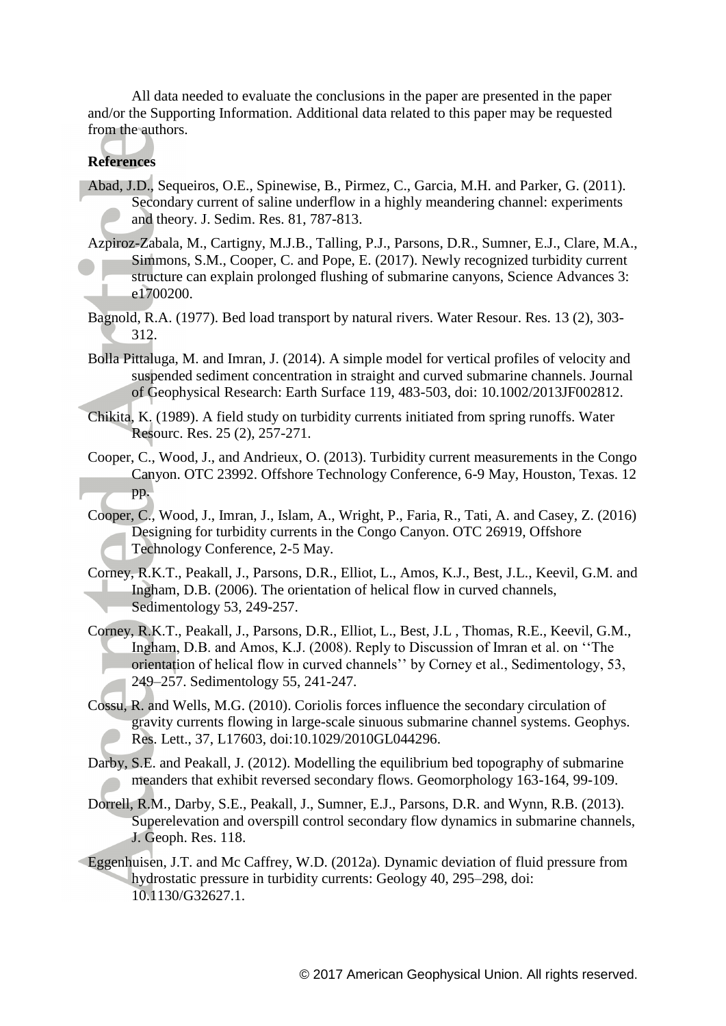All data needed to evaluate the conclusions in the paper are presented in the paper and/or the Supporting Information. Additional data related to this paper may be requested from the authors.

# **References**

- Abad, J.D., Sequeiros, O.E., Spinewise, B., Pirmez, C., Garcia, M.H. and Parker, G. (2011). Secondary current of saline underflow in a highly meandering channel: experiments and theory. J. Sedim. Res. 81, 787-813.
- Azpiroz-Zabala, M., Cartigny, M.J.B., Talling, P.J., Parsons, D.R., Sumner, E.J., Clare, M.A., Simmons, S.M., Cooper, C. and Pope, E. (2017). Newly recognized turbidity current structure can explain prolonged flushing of submarine canyons, Science Advances 3: e1700200.
- Bagnold, R.A. (1977). Bed load transport by natural rivers. Water Resour. Res. 13 (2), 303- 312.
- Bolla Pittaluga, M. and Imran, J. (2014). A simple model for vertical profiles of velocity and suspended sediment concentration in straight and curved submarine channels. Journal of Geophysical Research: Earth Surface 119, 483-503, doi: 10.1002/2013JF002812.
- Chikita, K. (1989). A field study on turbidity currents initiated from spring runoffs. Water Resourc. Res. 25 (2), 257-271.
- Cooper, C., Wood, J., and Andrieux, O. (2013). Turbidity current measurements in the Congo Canyon. OTC 23992. Offshore Technology Conference, 6-9 May, Houston, Texas. 12 pp.
- Cooper, C., Wood, J., Imran, J., Islam, A., Wright, P., Faria, R., Tati, A. and Casey, Z. (2016) Designing for turbidity currents in the Congo Canyon. OTC 26919, Offshore Technology Conference, 2-5 May.
- Corney, R.K.T., Peakall, J., Parsons, D.R., Elliot, L., Amos, K.J., Best, J.L., Keevil, G.M. and Ingham, D.B. (2006). The orientation of helical flow in curved channels, Sedimentology 53, 249-257.
- Corney, R.K.T., Peakall, J., Parsons, D.R., Elliot, L., Best, J.L , Thomas, R.E., Keevil, G.M., Ingham, D.B. and Amos, K.J. (2008). Reply to Discussion of Imran et al. on ''The orientation of helical flow in curved channels'' by Corney et al., Sedimentology, 53, 249–257. Sedimentology 55, 241-247.
- Cossu, R. and Wells, M.G. (2010). Coriolis forces influence the secondary circulation of gravity currents flowing in large-scale sinuous submarine channel systems. Geophys. Res. Lett., 37, L17603, doi:10.1029/2010GL044296.
- Darby, S.E. and Peakall, J. (2012). Modelling the equilibrium bed topography of submarine meanders that exhibit reversed secondary flows. Geomorphology 163-164, 99-109.
- Dorrell, R.M., Darby, S.E., Peakall, J., Sumner, E.J., Parsons, D.R. and Wynn, R.B. (2013). Superelevation and overspill control secondary flow dynamics in submarine channels, J. Geoph. Res. 118.
- Eggenhuisen, J.T. and Mc Caffrey, W.D. (2012a). Dynamic deviation of fluid pressure from hydrostatic pressure in turbidity currents: Geology 40, 295–298, doi: 10.1130/G32627.1.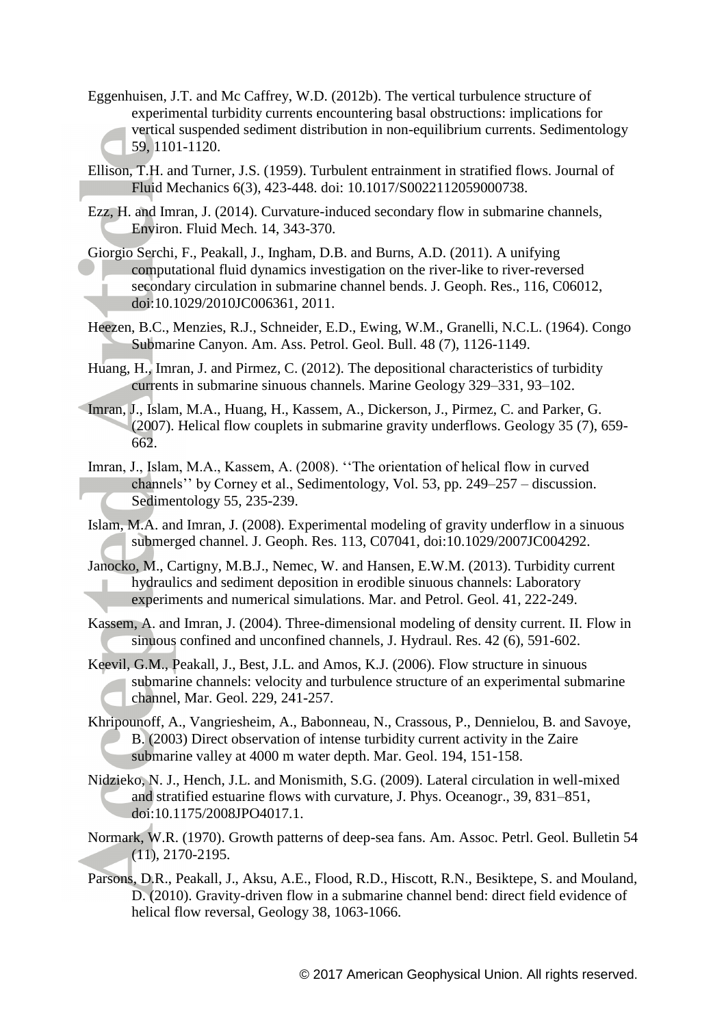- Eggenhuisen, J.T. and Mc Caffrey, W.D. (2012b). The vertical turbulence structure of experimental turbidity currents encountering basal obstructions: implications for vertical suspended sediment distribution in non-equilibrium currents. Sedimentology 59, 1101-1120.
- Ellison, T.H. and Turner, J.S. (1959). Turbulent entrainment in stratified flows. Journal of Fluid Mechanics 6(3), 423-448. doi: 10.1017/S0022112059000738.
- Ezz, H. and Imran, J. (2014). Curvature-induced secondary flow in submarine channels, Environ. Fluid Mech. 14, 343-370.
- Giorgio Serchi, F., Peakall, J., Ingham, D.B. and Burns, A.D. (2011). A unifying computational fluid dynamics investigation on the river-like to river-reversed secondary circulation in submarine channel bends. J. Geoph. Res., 116, C06012, doi:10.1029/2010JC006361, 2011.
- Heezen, B.C., Menzies, R.J., Schneider, E.D., Ewing, W.M., Granelli, N.C.L. (1964). Congo Submarine Canyon. Am. Ass. Petrol. Geol. Bull. 48 (7), 1126-1149.
- Huang, H., Imran, J. and Pirmez, C. (2012). The depositional characteristics of turbidity currents in submarine sinuous channels. Marine Geology 329–331, 93–102.
- Imran, J., Islam, M.A., Huang, H., Kassem, A., Dickerson, J., Pirmez, C. and Parker, G. (2007). Helical flow couplets in submarine gravity underflows. Geology 35 (7), 659- 662.
- Imran, J., Islam, M.A., Kassem, A. (2008). ''The orientation of helical flow in curved channels'' by Corney et al., Sedimentology, Vol. 53, pp. 249–257 – discussion. Sedimentology 55, 235-239.
- Islam, M.A. and Imran, J. (2008). Experimental modeling of gravity underflow in a sinuous submerged channel. J. Geoph. Res. 113, C07041, doi:10.1029/2007JC004292.
- Janocko, M., Cartigny, M.B.J., Nemec, W. and Hansen, E.W.M. (2013). Turbidity current hydraulics and sediment deposition in erodible sinuous channels: Laboratory experiments and numerical simulations. Mar. and Petrol. Geol. 41, 222-249.
- Kassem, A. and Imran, J. (2004). Three-dimensional modeling of density current. II. Flow in sinuous confined and unconfined channels, J. Hydraul. Res. 42 (6), 591-602.
- Keevil, G.M., Peakall, J., Best, J.L. and Amos, K.J. (2006). Flow structure in sinuous submarine channels: velocity and turbulence structure of an experimental submarine channel, Mar. Geol. 229, 241-257.
- Khripounoff, A., Vangriesheim, A., Babonneau, N., Crassous, P., Dennielou, B. and Savoye, B. (2003) Direct observation of intense turbidity current activity in the Zaire submarine valley at 4000 m water depth. Mar. Geol. 194, 151-158.
- Nidzieko, N. J., Hench, J.L. and Monismith, S.G. (2009). Lateral circulation in well-mixed and stratified estuarine flows with curvature, J. Phys. Oceanogr., 39, 831–851, doi:10.1175/2008JPO4017.1.
- Normark, W.R. (1970). Growth patterns of deep-sea fans. Am. Assoc. Petrl. Geol. Bulletin 54 (11), 2170-2195.
- Parsons, D.R., Peakall, J., Aksu, A.E., Flood, R.D., Hiscott, R.N., Besiktepe, S. and Mouland, D. (2010). Gravity-driven flow in a submarine channel bend: direct field evidence of helical flow reversal, Geology 38, 1063-1066.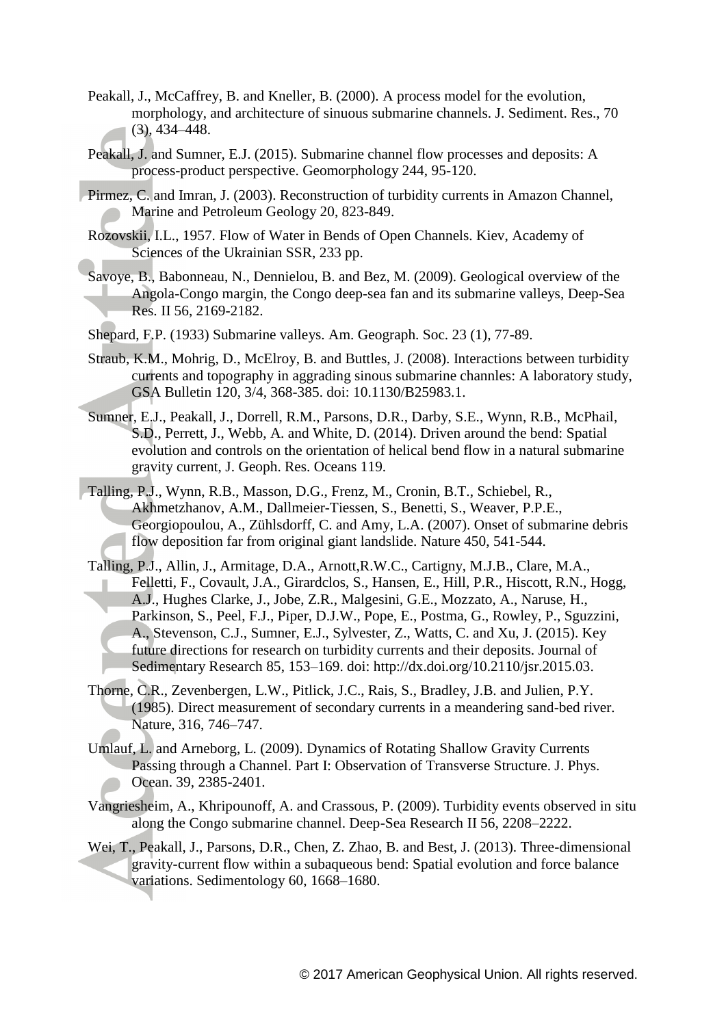- Peakall, J., McCaffrey, B. and Kneller, B. (2000). A process model for the evolution, morphology, and architecture of sinuous submarine channels. J. Sediment. Res., 70 (3), 434–448.
- Peakall, J. and Sumner, E.J. (2015). Submarine channel flow processes and deposits: A process-product perspective. Geomorphology 244, 95-120.
- Pirmez, C. and Imran, J. (2003). Reconstruction of turbidity currents in Amazon Channel, Marine and Petroleum Geology 20, 823-849.
- Rozovskii, I.L., 1957. Flow of Water in Bends of Open Channels. Kiev, Academy of Sciences of the Ukrainian SSR, 233 pp.
- Savoye, B., Babonneau, N., Dennielou, B. and Bez, M. (2009). Geological overview of the Angola-Congo margin, the Congo deep-sea fan and its submarine valleys, Deep-Sea Res. II 56, 2169-2182.
- Shepard, F.P. (1933) Submarine valleys. Am. Geograph. Soc. 23 (1), 77-89.
- Straub, K.M., Mohrig, D., McElroy, B. and Buttles, J. (2008). Interactions between turbidity currents and topography in aggrading sinous submarine channles: A laboratory study, GSA Bulletin 120, 3/4, 368-385. doi: 10.1130/B25983.1.
- Sumner, E.J., Peakall, J., Dorrell, R.M., Parsons, D.R., Darby, S.E., Wynn, R.B., McPhail, S.D., Perrett, J., Webb, A. and White, D. (2014). Driven around the bend: Spatial evolution and controls on the orientation of helical bend flow in a natural submarine gravity current, J. Geoph. Res. Oceans 119.
- Talling, P.J., Wynn, R.B., Masson, D.G., Frenz, M., Cronin, B.T., Schiebel, R., Akhmetzhanov, A.M., Dallmeier-Tiessen, S., Benetti, S., Weaver, P.P.E., Georgiopoulou, A., Zühlsdorff, C. and Amy, L.A. (2007). Onset of submarine debris flow deposition far from original giant landslide. Nature 450, 541-544.
- Talling, P.J., Allin, J., Armitage, D.A., Arnott,R.W.C., Cartigny, M.J.B., Clare, M.A., Felletti, F., Covault, J.A., Girardclos, S., Hansen, E., Hill, P.R., Hiscott, R.N., Hogg, A.J., Hughes Clarke, J., Jobe, Z.R., Malgesini, G.E., Mozzato, A., Naruse, H., Parkinson, S., Peel, F.J., Piper, D.J.W., Pope, E., Postma, G., Rowley, P., Sguzzini, A., Stevenson, C.J., Sumner, E.J., Sylvester, Z., Watts, C. and Xu, J. (2015). Key future directions for research on turbidity currents and their deposits. Journal of Sedimentary Research 85, 153–169. doi: http://dx.doi.org/10.2110/jsr.2015.03.
- Thorne, C.R., Zevenbergen, L.W., Pitlick, J.C., Rais, S., Bradley, J.B. and Julien, P.Y. (1985). Direct measurement of secondary currents in a meandering sand-bed river. Nature, 316, 746–747.
- Umlauf, L. and Arneborg, L. (2009). Dynamics of Rotating Shallow Gravity Currents Passing through a Channel. Part I: Observation of Transverse Structure. J. Phys. Ocean. 39, 2385-2401.
- Vangriesheim, A., Khripounoff, A. and Crassous, P. (2009). Turbidity events observed in situ along the Congo submarine channel. Deep-Sea Research II 56, 2208–2222.
- Wei, T., Peakall, J., Parsons, D.R., Chen, Z. Zhao, B. and Best, J. (2013). Three-dimensional gravity-current flow within a subaqueous bend: Spatial evolution and force balance variations. Sedimentology 60, 1668–1680.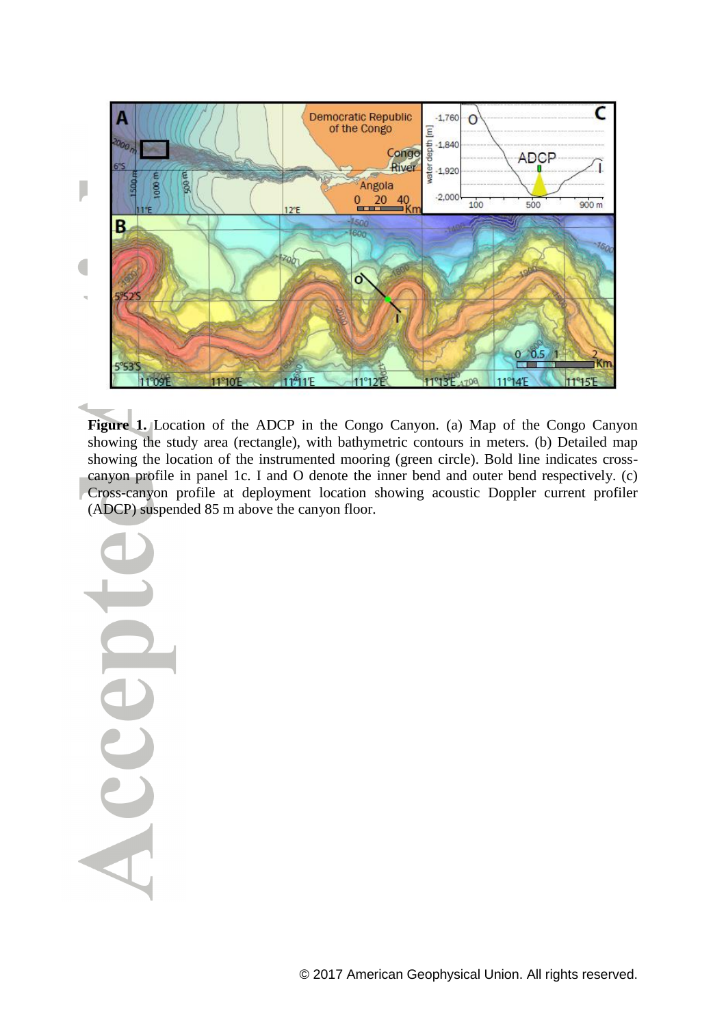

**Figure 1.** Location of the ADCP in the Congo Canyon. (a) Map of the Congo Canyon showing the study area (rectangle), with bathymetric contours in meters. (b) Detailed map showing the location of the instrumented mooring (green circle). Bold line indicates crosscanyon profile in panel 1c. I and O denote the inner bend and outer bend respectively. (c) Cross-canyon profile at deployment location showing acoustic Doppler current profiler (ADCP) suspended 85 m above the canyon floor.

Acce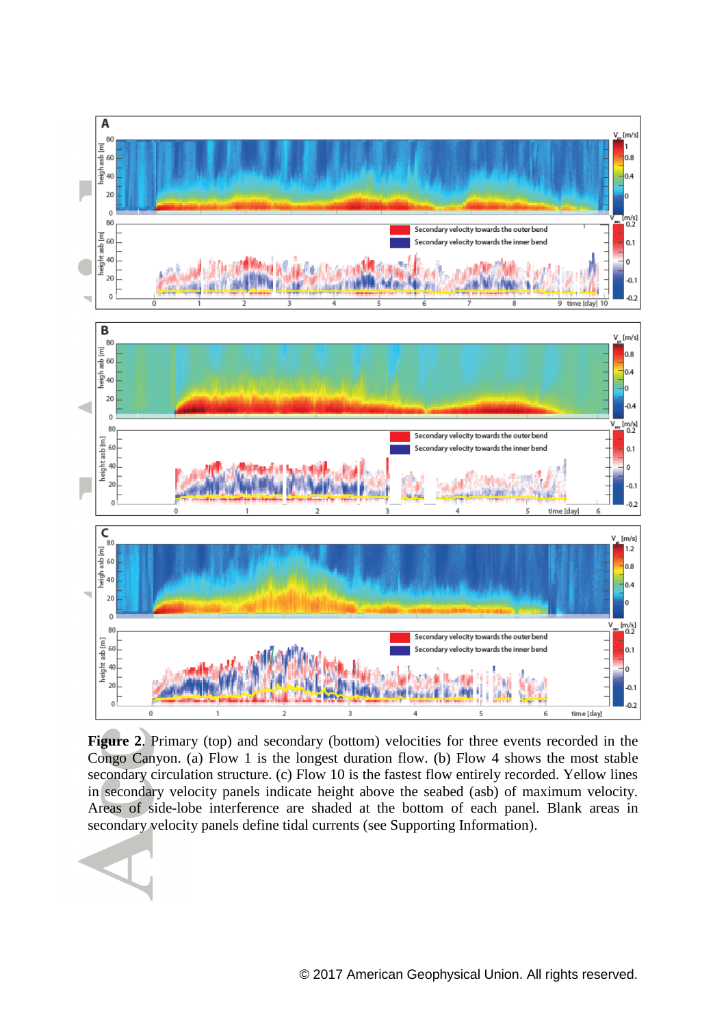

Figure 2. Primary (top) and secondary (bottom) velocities for three events recorded in the Congo Canyon. (a) Flow 1 is the longest duration flow. (b) Flow 4 shows the most stable secondary circulation structure. (c) Flow 10 is the fastest flow entirely recorded. Yellow lines in secondary velocity panels indicate height above the seabed (asb) of maximum velocity. Areas of side-lobe interference are shaded at the bottom of each panel. Blank areas in secondary velocity panels define tidal currents (see Supporting Information).

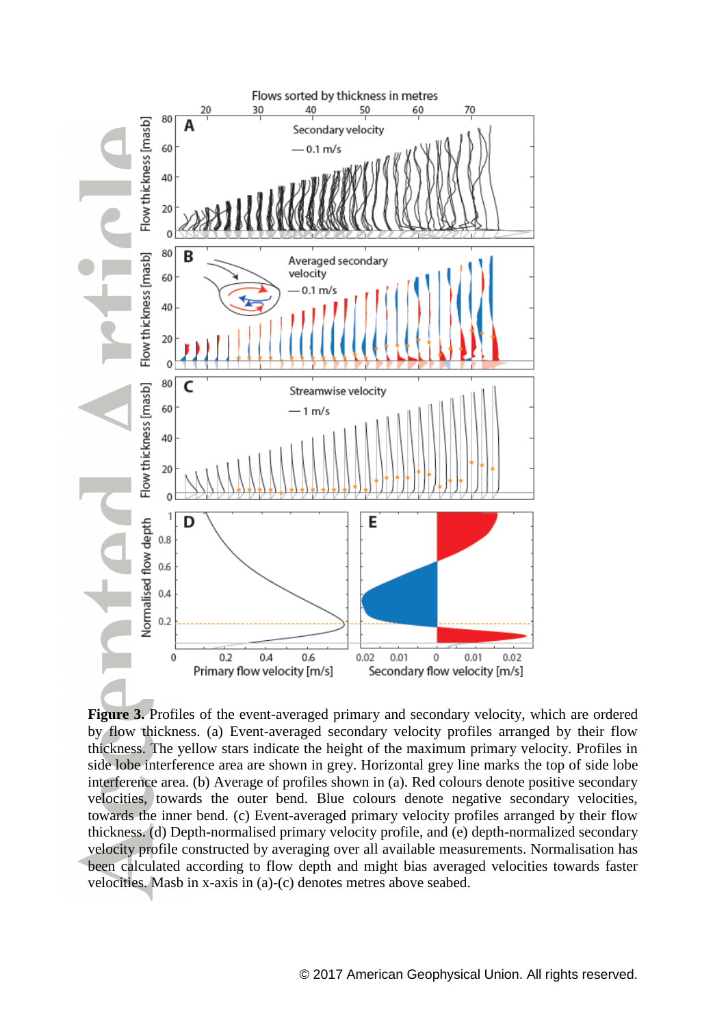

**Figure 3.** Profiles of the event-averaged primary and secondary velocity, which are ordered by flow thickness. (a) Event-averaged secondary velocity profiles arranged by their flow thickness. The yellow stars indicate the height of the maximum primary velocity. Profiles in side lobe interference area are shown in grey. Horizontal grey line marks the top of side lobe interference area. (b) Average of profiles shown in (a). Red colours denote positive secondary velocities, towards the outer bend. Blue colours denote negative secondary velocities, towards the inner bend. (c) Event-averaged primary velocity profiles arranged by their flow thickness. (d) Depth-normalised primary velocity profile, and (e) depth-normalized secondary velocity profile constructed by averaging over all available measurements. Normalisation has been calculated according to flow depth and might bias averaged velocities towards faster velocities. Masb in x-axis in (a)-(c) denotes metres above seabed.